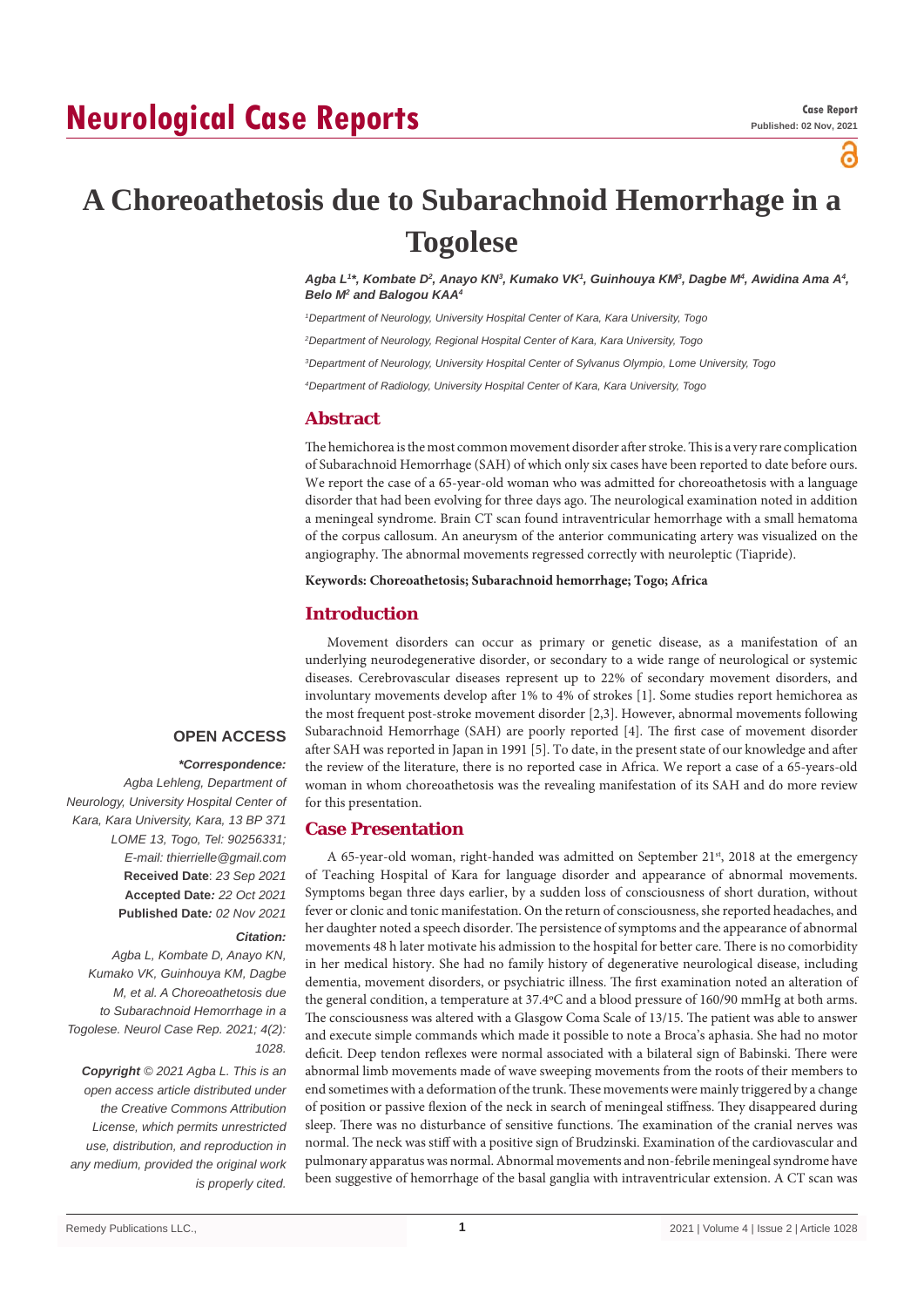# **Neurological Case Reports**

ဥ

# **A Choreoathetosis due to Subarachnoid Hemorrhage in a Togolese**

Agba L1\*, Kombate D², Anayo KNª, Kumako VK1, Guinhouya KMª, Dagbe Mª, Awidina Ama A4, Belo M<sup>2</sup> and Balogou KAA<sup>4</sup>

*1 Department of Neurology, University Hospital Center of Kara, Kara University, Togo*

*2 Department of Neurology, Regional Hospital Center of Kara, Kara University, Togo*

*3 Department of Neurology, University Hospital Center of Sylvanus Olympio, Lome University, Togo*

*4 Department of Radiology, University Hospital Center of Kara, Kara University, Togo*

## **Abstract**

The hemichorea is the most common movement disorder after stroke. This is a very rare complication of Subarachnoid Hemorrhage (SAH) of which only six cases have been reported to date before ours. We report the case of a 65-year-old woman who was admitted for choreoathetosis with a language disorder that had been evolving for three days ago. The neurological examination noted in addition a meningeal syndrome. Brain CT scan found intraventricular hemorrhage with a small hematoma of the corpus callosum. An aneurysm of the anterior communicating artery was visualized on the angiography. The abnormal movements regressed correctly with neuroleptic (Tiapride).

**Keywords: Choreoathetosis; Subarachnoid hemorrhage; Togo; Africa**

# **Introduction**

Movement disorders can occur as primary or genetic disease, as a manifestation of an underlying neurodegenerative disorder, or secondary to a wide range of neurological or systemic diseases. Cerebrovascular diseases represent up to 22% of secondary movement disorders, and involuntary movements develop after 1% to 4% of strokes [1]. Some studies report hemichorea as the most frequent post-stroke movement disorder [2,3]. However, abnormal movements following Subarachnoid Hemorrhage (SAH) are poorly reported [4]. The first case of movement disorder after SAH was reported in Japan in 1991 [5]. To date, in the present state of our knowledge and after the review of the literature, there is no reported case in Africa. We report a case of a 65-years-old woman in whom choreoathetosis was the revealing manifestation of its SAH and do more review for this presentation.

## **Case Presentation**

A 65-year-old woman, right-handed was admitted on September  $21^{st}$ , 2018 at the emergency of Teaching Hospital of Kara for language disorder and appearance of abnormal movements. Symptoms began three days earlier, by a sudden loss of consciousness of short duration, without fever or clonic and tonic manifestation. On the return of consciousness, she reported headaches, and her daughter noted a speech disorder. The persistence of symptoms and the appearance of abnormal movements 48 h later motivate his admission to the hospital for better care. There is no comorbidity in her medical history. She had no family history of degenerative neurological disease, including dementia, movement disorders, or psychiatric illness. The first examination noted an alteration of the general condition, a temperature at 37.4ºC and a blood pressure of 160/90 mmHg at both arms. The consciousness was altered with a Glasgow Coma Scale of 13/15. The patient was able to answer and execute simple commands which made it possible to note a Broca's aphasia. She had no motor deficit. Deep tendon reflexes were normal associated with a bilateral sign of Babinski. There were abnormal limb movements made of wave sweeping movements from the roots of their members to end sometimes with a deformation of the trunk. These movements were mainly triggered by a change of position or passive flexion of the neck in search of meningeal stiffness. They disappeared during sleep. There was no disturbance of sensitive functions. The examination of the cranial nerves was normal. The neck was stiff with a positive sign of Brudzinski. Examination of the cardiovascular and pulmonary apparatus was normal. Abnormal movements and non-febrile meningeal syndrome have been suggestive of hemorrhage of the basal ganglia with intraventricular extension. A CT scan was

# **OPEN ACCESS**

#### *\*Correspondence:*

*Agba Lehleng, Department of Neurology, University Hospital Center of Kara, Kara University, Kara, 13 BP 371 LOME 13, Togo, Tel: 90256331; E-mail: thierrielle@gmail.com* **Received Date**: *23 Sep 2021* **Accepted Date***: 22 Oct 2021* **Published Date***: 02 Nov 2021*

#### *Citation:*

*Agba L, Kombate D, Anayo KN, Kumako VK, Guinhouya KM, Dagbe M, et al. A Choreoathetosis due to Subarachnoid Hemorrhage in a Togolese. Neurol Case Rep. 2021; 4(2): 1028.*

*Copyright © 2021 Agba L. This is an open access article distributed under the Creative Commons Attribution License, which permits unrestricted use, distribution, and reproduction in any medium, provided the original work is properly cited.*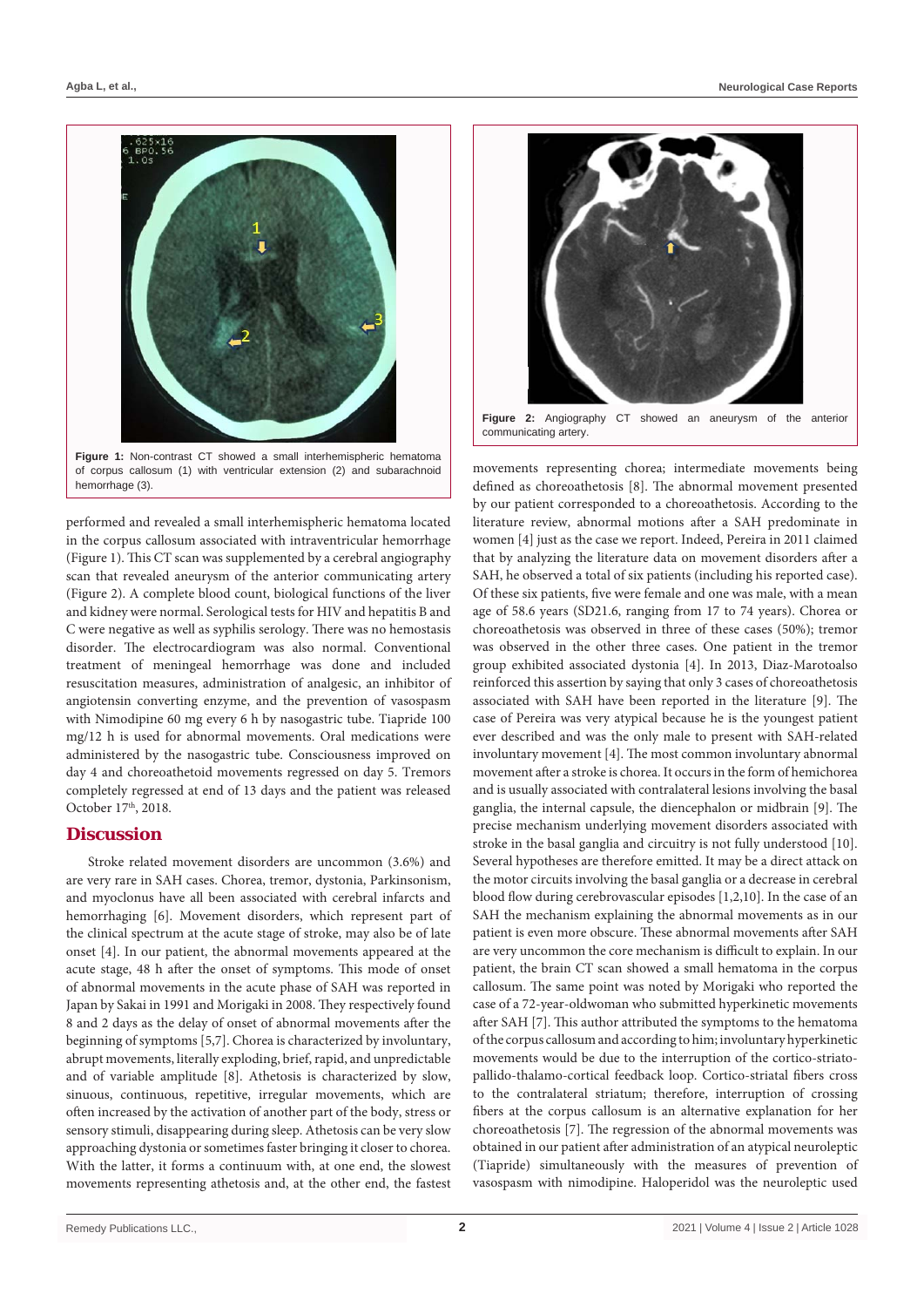

**Figure 1:** Non-contrast CT showed a small interhemispheric hematoma of corpus callosum (1) with ventricular extension (2) and subarachnoid hemorrhage (3).

performed and revealed a small interhemispheric hematoma located in the corpus callosum associated with intraventricular hemorrhage (Figure 1). This CT scan was supplemented by a cerebral angiography scan that revealed aneurysm of the anterior communicating artery (Figure 2). A complete blood count, biological functions of the liver and kidney were normal. Serological tests for HIV and hepatitis B and C were negative as well as syphilis serology. There was no hemostasis disorder. The electrocardiogram was also normal. Conventional treatment of meningeal hemorrhage was done and included resuscitation measures, administration of analgesic, an inhibitor of angiotensin converting enzyme, and the prevention of vasospasm with Nimodipine 60 mg every 6 h by nasogastric tube. Tiapride 100 mg/12 h is used for abnormal movements. Oral medications were administered by the nasogastric tube. Consciousness improved on day 4 and choreoathetoid movements regressed on day 5. Tremors completely regressed at end of 13 days and the patient was released October 17<sup>th</sup>, 2018.

### **Discussion**

Stroke related movement disorders are uncommon (3.6%) and are very rare in SAH cases. Chorea, tremor, dystonia, Parkinsonism, and myoclonus have all been associated with cerebral infarcts and hemorrhaging [6]. Movement disorders, which represent part of the clinical spectrum at the acute stage of stroke, may also be of late onset [4]. In our patient, the abnormal movements appeared at the acute stage, 48 h after the onset of symptoms. This mode of onset of abnormal movements in the acute phase of SAH was reported in Japan by Sakai in 1991 and Morigaki in 2008. They respectively found 8 and 2 days as the delay of onset of abnormal movements after the beginning of symptoms [5,7]. Chorea is characterized by involuntary, abrupt movements, literally exploding, brief, rapid, and unpredictable and of variable amplitude [8]. Athetosis is characterized by slow, sinuous, continuous, repetitive, irregular movements, which are often increased by the activation of another part of the body, stress or sensory stimuli, disappearing during sleep. Athetosis can be very slow approaching dystonia or sometimes faster bringing it closer to chorea. With the latter, it forms a continuum with, at one end, the slowest movements representing athetosis and, at the other end, the fastest



**Figure 2:** Angiography CT showed an aneurysm of the anterior communicating artery.

movements representing chorea; intermediate movements being defined as choreoathetosis [8]. The abnormal movement presented by our patient corresponded to a choreoathetosis. According to the literature review, abnormal motions after a SAH predominate in women [4] just as the case we report. Indeed, Pereira in 2011 claimed that by analyzing the literature data on movement disorders after a SAH, he observed a total of six patients (including his reported case). Of these six patients, five were female and one was male, with a mean age of 58.6 years (SD21.6, ranging from 17 to 74 years). Chorea or choreoathetosis was observed in three of these cases (50%); tremor was observed in the other three cases. One patient in the tremor group exhibited associated dystonia [4]. In 2013, Diaz-Marotoalso reinforced this assertion by saying that only 3 cases of choreoathetosis associated with SAH have been reported in the literature [9]. The case of Pereira was very atypical because he is the youngest patient ever described and was the only male to present with SAH-related involuntary movement [4]. The most common involuntary abnormal movement after a stroke is chorea. It occurs in the form of hemichorea and is usually associated with contralateral lesions involving the basal ganglia, the internal capsule, the diencephalon or midbrain [9]. The precise mechanism underlying movement disorders associated with stroke in the basal ganglia and circuitry is not fully understood [10]. Several hypotheses are therefore emitted. It may be a direct attack on the motor circuits involving the basal ganglia or a decrease in cerebral blood flow during cerebrovascular episodes [1,2,10]. In the case of an SAH the mechanism explaining the abnormal movements as in our patient is even more obscure. These abnormal movements after SAH are very uncommon the core mechanism is difficult to explain. In our patient, the brain CT scan showed a small hematoma in the corpus callosum. The same point was noted by Morigaki who reported the case of a 72-year-oldwoman who submitted hyperkinetic movements after SAH [7]. This author attributed the symptoms to the hematoma of the corpus callosum and according to him; involuntary hyperkinetic movements would be due to the interruption of the cortico-striatopallido-thalamo-cortical feedback loop. Cortico-striatal fibers cross to the contralateral striatum; therefore, interruption of crossing fibers at the corpus callosum is an alternative explanation for her choreoathetosis [7]. The regression of the abnormal movements was obtained in our patient after administration of an atypical neuroleptic (Tiapride) simultaneously with the measures of prevention of vasospasm with nimodipine. Haloperidol was the neuroleptic used